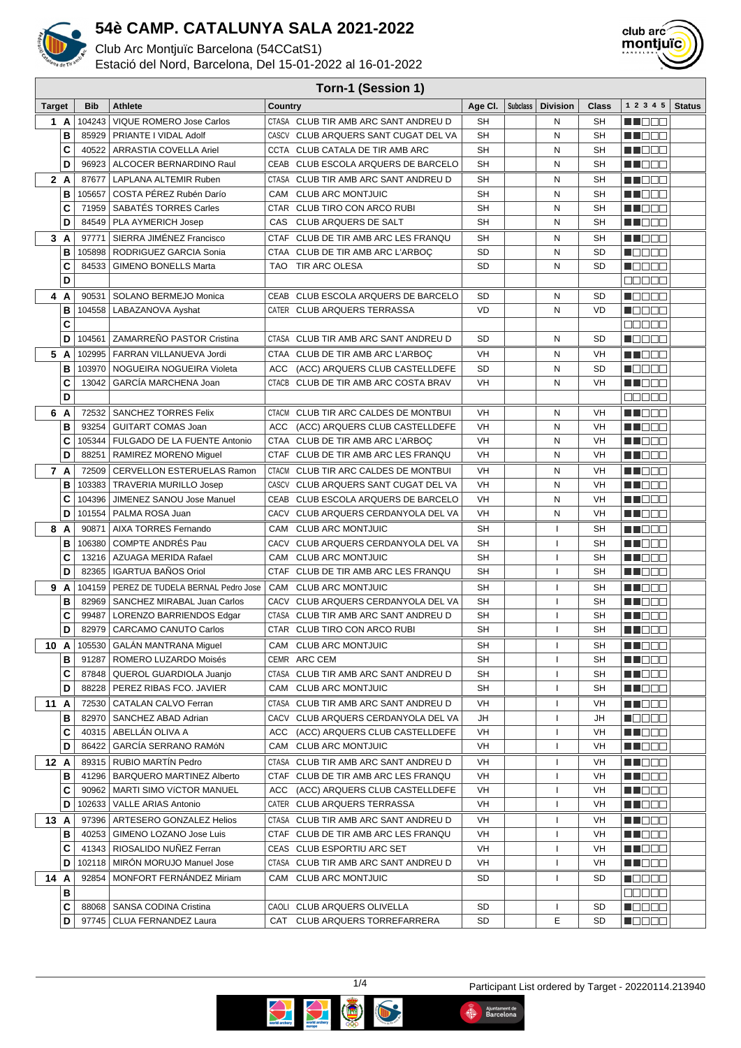

Club Arc Montjuïc Barcelona (54CCatS1)

Estació del Nord, Barcelona, Del 15-01-2022 al 16-01-2022



|               | Torn-1 (Session 1) |                |                                                            |              |                                                               |           |                 |                          |           |                                              |               |
|---------------|--------------------|----------------|------------------------------------------------------------|--------------|---------------------------------------------------------------|-----------|-----------------|--------------------------|-----------|----------------------------------------------|---------------|
| <b>Target</b> |                    | <b>Bib</b>     | <b>Athlete</b>                                             | Country      |                                                               | Age CI.   | <b>Subclass</b> | <b>Division</b>          | Class     | 1 2 3 4 5                                    | <b>Status</b> |
| 1 A           |                    | 104243         | VIQUE ROMERO Jose Carlos                                   |              | CTASA CLUB TIR AMB ARC SANT ANDREU D                          | SH        |                 | Ν                        | <b>SH</b> | MT E E E                                     |               |
|               | В                  | 85929          | PRIANTE I VIDAL Adolf                                      | CASCV        | CLUB ARQUERS SANT CUGAT DEL VA                                | SH        |                 | Ν                        | SΗ        | M DE S                                       |               |
|               | C                  | 40522          | ARRASTIA COVELLA Ariel                                     |              | CCTA CLUB CATALA DE TIR AMB ARC                               | <b>SH</b> |                 | N                        | <b>SH</b> | M DE B                                       |               |
|               | D                  | 96923          | ALCOCER BERNARDINO Raul                                    | CEAB         | CLUB ESCOLA ARQUERS DE BARCELO                                | SH        |                 | N                        | SH        | M NOOC                                       |               |
| 2A            |                    | 87677          | LAPLANA ALTEMIR Ruben                                      |              | CTASA CLUB TIR AMB ARC SANT ANDREU D                          | SH        |                 | N                        | SН        | M DE B                                       |               |
|               | B                  | 105657         | COSTA PÉREZ Rubén Darío                                    | CAM          | <b>CLUB ARC MONTJUIC</b>                                      | SH        |                 | Ν                        | <b>SH</b> | N I E E E                                    |               |
|               | C                  | 71959          | SABATÉS TORRES Carles                                      |              | CTAR CLUB TIRO CON ARCO RUBI                                  | <b>SH</b> |                 | N                        | <b>SH</b> | M DE B                                       |               |
|               | D                  | 84549          | PLA AYMERICH Josep                                         | CAS          | CLUB ARQUERS DE SALT                                          | <b>SH</b> |                 | N                        | <b>SH</b> | MU OO O                                      |               |
| 3 A           |                    | 97771          | SIERRA JIMÉNEZ Francisco                                   |              | CTAF CLUB DE TIR AMB ARC LES FRANQU                           | <b>SH</b> |                 | N                        | <b>SH</b> | n no se                                      |               |
|               | B                  | 105898         | RODRIGUEZ GARCIA Sonia                                     |              | CTAA CLUB DE TIR AMB ARC L'ARBOC                              | <b>SD</b> |                 | Ν                        | <b>SD</b> | N OO OO                                      |               |
|               | C                  | 84533          | <b>GIMENO BONELLS Marta</b>                                |              | TAO TIR ARC OLESA                                             | <b>SD</b> |                 | N                        | <b>SD</b> | <b>MODOO</b>                                 |               |
|               | D                  |                |                                                            |              |                                                               |           |                 |                          |           | ME E E E                                     |               |
| 4 A           |                    | 90531          | SOLANO BERMEJO Monica                                      |              | CEAB CLUB ESCOLA ARQUERS DE BARCELO                           | <b>SD</b> |                 | Ν                        | <b>SD</b> | Maaaa                                        |               |
|               | В                  | 104558         | LABAZANOVA Ayshat                                          |              | CATER CLUB ARQUERS TERRASSA                                   | VD        |                 | N                        | <b>VD</b> | M E E E E                                    |               |
|               | C                  |                |                                                            |              |                                                               |           |                 |                          |           | 88888                                        |               |
|               | D                  | 104561         | ZAMARREÑO PASTOR Cristina                                  |              | CTASA CLUB TIR AMB ARC SANT ANDREU D                          | <b>SD</b> |                 | N                        | SD        | <b>RATTER</b>                                |               |
| 5 A           |                    | 102995         | FARRAN VILLANUEVA Jordi                                    |              | CTAA CLUB DE TIR AMB ARC L'ARBOC                              | VH        |                 | N                        | VH        | MA NA MA                                     |               |
|               | в                  | 103970         | NOGUEIRA NOGUEIRA Violeta                                  | ACC          | (ACC) ARQUERS CLUB CASTELLDEFE                                | <b>SD</b> |                 | N                        | <b>SD</b> | manan s                                      |               |
|               | C                  | 13042          | GARCÍA MARCHENA Joan                                       | <b>CTACB</b> | CLUB DE TIR AMB ARC COSTA BRAV                                | VH        |                 | Ν                        | VH        | N NOOC                                       |               |
|               | D                  |                |                                                            |              |                                                               |           |                 |                          |           | na na na                                     |               |
| 6             | A                  | 72532          | <b>SANCHEZ TORRES Felix</b>                                | <b>CTACM</b> | CLUB TIR ARC CALDES DE MONTBUI                                | VH        |                 | Ν                        | VH        | M DOO                                        |               |
|               | в                  | 93254          | <b>GUITART COMAS Joan</b>                                  | ACC          | (ACC) ARQUERS CLUB CASTELLDEFE                                | VH        |                 | Ν                        | VH        | N N E E                                      |               |
|               | C                  | 105344         | FULGADO DE LA FUENTE Antonio                               |              | CTAA CLUB DE TIR AMB ARC L'ARBOC                              | VH        |                 | N                        | VH        | M NO BIB                                     |               |
|               | D                  | 88251          | RAMIREZ MORENO Miguel                                      |              | CTAF CLUB DE TIR AMB ARC LES FRANQU                           | VH        |                 | N                        | VH        | M NOOC                                       |               |
| 7 A           |                    | 72509          | <b>CERVELLON ESTERUELAS Ramon</b>                          | <b>CTACM</b> | CLUB TIR ARC CALDES DE MONTBUI                                | VH        |                 | N                        | VH        | M NOOD                                       |               |
|               | В                  | 103383         | <b>TRAVERIA MURILLO Josep</b>                              | CASCV        | CLUB ARQUERS SANT CUGAT DEL VA                                | VH        |                 | Ν                        | VH        | M DE D                                       |               |
|               | C                  | 104396         | JIMENEZ SANOU Jose Manuel                                  |              | CEAB CLUB ESCOLA ARQUERS DE BARCELO                           | VH        |                 | N                        | VH        | M DE B                                       |               |
|               | D                  | 101554         | PALMA ROSA Juan                                            |              | CACV CLUB ARQUERS CERDANYOLA DEL VA                           | VH        |                 | N                        | VH        | MI OO B                                      |               |
| 8             | A                  | 90871          | AIXA TORRES Fernando                                       | CAM          | <b>CLUB ARC MONTJUIC</b>                                      | SH        |                 | $\mathbf{I}$             | SН        | M DE B                                       |               |
|               | В                  | 106380         | <b>COMPTE ANDRES Pau</b>                                   | CACV         | CLUB ARQUERS CERDANYOLA DEL VA                                | SH        |                 | -1                       | <b>SH</b> | N I BE E                                     |               |
|               | C                  | 13216          | AZUAGA MERIDA Rafael                                       | CAM          | <b>CLUB ARC MONTJUIC</b>                                      | SH        |                 | -1                       | <b>SH</b> | M DE D                                       |               |
|               | D                  | 82365          | IGARTUA BAÑOS Oriol                                        |              | CTAF CLUB DE TIR AMB ARC LES FRANQU                           | SН        |                 |                          | <b>SH</b> | <u> a se esc</u>                             |               |
| 9             | A                  | 104159         | PEREZ DE TUDELA BERNAL Pedro Jose                          | CAM          | <b>CLUB ARC MONTJUIC</b>                                      | SH        |                 | -1                       | SН        | MU DO O                                      |               |
|               | В                  | 82969          | SANCHEZ MIRABAL Juan Carlos                                |              | CACV CLUB ARQUERS CERDANYOLA DEL VA                           | <b>SH</b> |                 | 1                        | <b>SH</b> | THE EXIST                                    |               |
|               | C                  | 99487          | LORENZO BARRIENDOS Edgar                                   | CTASA        | CLUB TIR AMB ARC SANT ANDREU D                                | SH        |                 | -1                       | <b>SH</b> | MT OO S                                      |               |
|               | D                  | 82979          | <b>CARCAMO CANUTO Carlos</b>                               |              | CTAR CLUB TIRO CON ARCO RUBI                                  | <b>SH</b> |                 | $\overline{\phantom{a}}$ | <b>SH</b> | MN OO O                                      |               |
| 10 A          |                    |                | 105530 GALÁN MANTRANA Miguel                               |              | CAM CLUB ARC MONTJUIC                                         | SН        |                 | J.                       | SН        | <u> Literatur</u>                            |               |
|               | в                  | 91287          | ROMERO LUZARDO Moisés                                      |              | CEMR ARC CEM                                                  | SH        |                 | т                        | SH        | M DE B                                       |               |
|               | С<br>D             | 88228          | 87848   QUEROL GUARDIOLA Juanjo<br>PEREZ RIBAS FCO. JAVIER |              | CTASA CLUB TIR AMB ARC SANT ANDREU D<br>CAM CLUB ARC MONTJUIC | SН<br>SН  |                 | ı<br>$\mathbf{I}$        | SH<br>SH  | M NO O O<br>MU O O O                         |               |
|               |                    |                |                                                            |              | CTASA CLUB TIR AMB ARC SANT ANDREU D                          |           |                 |                          |           |                                              |               |
| 11 A          | в                  | 72530<br>82970 | CATALAN CALVO Ferran<br>SANCHEZ ABAD Adrian                |              | CACV CLUB ARQUERS CERDANYOLA DEL VA                           | VH<br>JH  |                 | T<br>T                   | VH<br>JH  | M NOOC<br>N OO OO                            |               |
|               | C                  |                | 40315   ABELLAN OLIVA A                                    |              | ACC (ACC) ARQUERS CLUB CASTELLDEFE                            | VH        |                 | $\mathsf{I}$             | VH        | <u>Li i dec</u>                              |               |
|               | D                  | 86422          | GARCÍA SERRANO RAMÓN                                       |              | CAM CLUB ARC MONTJUIC                                         | VH        |                 | T                        | VH        | <u> El Bel</u>                               |               |
| 12 A          |                    | 89315          | RUBIO MARTÍN Pedro                                         |              | CTASA CLUB TIR AMB ARC SANT ANDREU D                          | VH        |                 | $\mathsf{I}$             | VH        | W J O O O                                    |               |
|               | в                  |                | 41296   BARQUERO MARTINEZ Alberto                          |              | CTAF CLUB DE TIR AMB ARC LES FRANQU                           | VH        |                 | L                        | VH        | MI DE S                                      |               |
|               | C                  |                | 90962   MARTI SIMO VÍCTOR MANUEL                           |              | ACC (ACC) ARQUERS CLUB CASTELLDEFE                            | VH        |                 | L                        | VH        | <u> El Bele</u>                              |               |
|               | D                  |                | 102633   VALLE ARIAS Antonio                               |              | CATER CLUB ARQUERS TERRASSA                                   | VH        |                 | -1                       | VH        | <u> Hill Biblio</u>                          |               |
| 13 A          |                    | 97396          | ARTESERO GONZALEZ Helios                                   |              | CTASA CLUB TIR AMB ARC SANT ANDREU D                          | VH        |                 | $\mathsf{I}$             | VH        | W J D O O                                    |               |
|               | в                  |                | 40253   GIMENO LOZANO Jose Luis                            |              | CTAF CLUB DE TIR AMB ARC LES FRANQU                           | VH        |                 | 1                        | VH        | <u> El Bel</u>                               |               |
|               | C                  |                | 41343   RIOSALIDO NUÑEZ Ferran                             |              | CEAS CLUB ESPORTIU ARC SET                                    | VH        |                 | ı                        | VH        | M NO O O                                     |               |
|               | D                  |                | 102118   MIRON MORUJO Manuel Jose                          |              | CTASA CLUB TIR AMB ARC SANT ANDREU D                          | VH        |                 | ı                        | VH        |                                              |               |
| 14 A          |                    | 92854          | MONFORT FERNÁNDEZ Miriam                                   |              | CAM CLUB ARC MONTJUIC                                         | SD        |                 | J.                       | SD        | N O S O S                                    |               |
|               | в                  |                |                                                            |              |                                                               |           |                 |                          |           | <u>s se se</u>                               |               |
|               | C                  |                | 88068   SANSA CODINA Cristina                              |              | CAOLI CLUB ARQUERS OLIVELLA                                   | SD        |                 | L                        | SD        | Maaaa                                        |               |
|               | D                  |                | 97745   CLUA FERNANDEZ Laura                               |              | CAT CLUB ARQUERS TORREFARRERA                                 | SD        |                 | Ε                        | SD        | $\blacksquare$ $\square$ $\square$ $\square$ |               |



Ajuntament de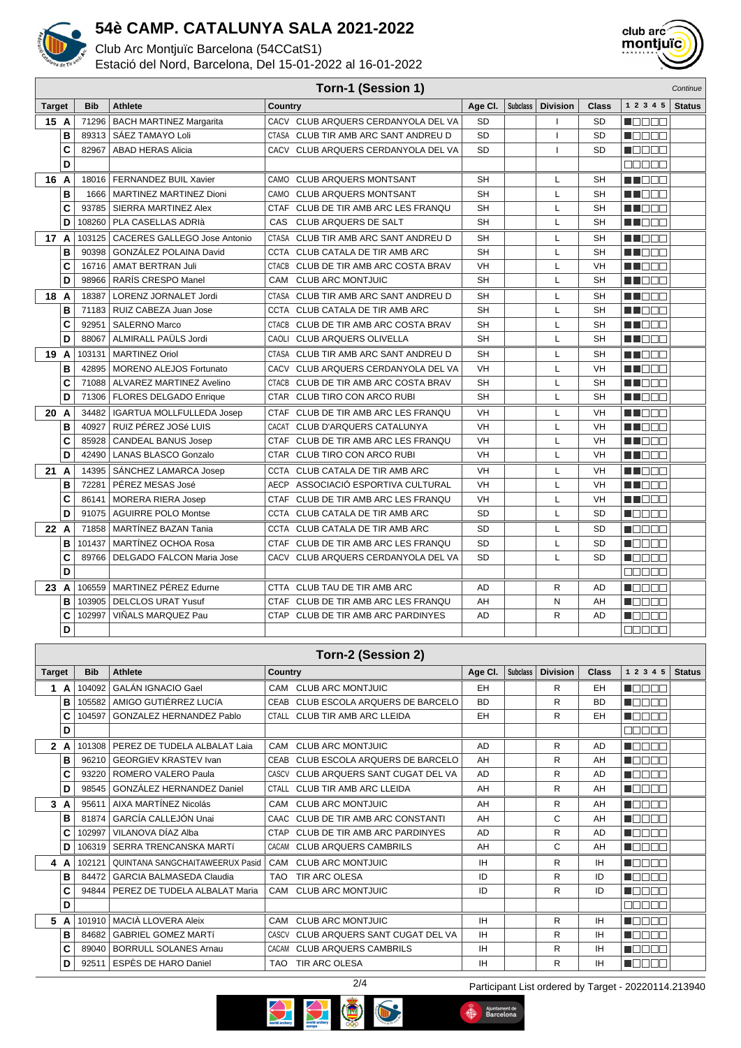

Club Arc Montjuïc Barcelona (54CCatS1)

Estació del Nord, Barcelona, Del 15-01-2022 al 16-01-2022



|      | Torn-1 (Session 1)<br>Continue |        |                                     |                                          |           |                 |                 |           |                   |               |
|------|--------------------------------|--------|-------------------------------------|------------------------------------------|-----------|-----------------|-----------------|-----------|-------------------|---------------|
|      | <b>Bib</b><br><b>Target</b>    |        | Athlete                             | Country                                  | Age Cl.   | <b>Subclass</b> | <b>Division</b> | Class     | 1 2 3 4 5         | <b>Status</b> |
| 15 A |                                | 71296  | <b>BACH MARTINEZ Margarita</b>      | CACV CLUB ARQUERS CERDANYOLA DEL VA      | <b>SD</b> |                 | $\mathbf{I}$    | SD        | MA DE L           |               |
|      | B                              | 89313  | SÁEZ TAMAYO Loli                    | CTASA CLUB TIR AMB ARC SANT ANDREU D     | <b>SD</b> |                 | $\mathbf{I}$    | <b>SD</b> | n na na n         |               |
|      | C                              | 82967  | <b>ABAD HERAS Alicia</b>            | CACV CLUB ARQUERS CERDANYOLA DEL VA      | <b>SD</b> |                 | $\mathbf{I}$    | <b>SD</b> | n de se           |               |
|      | D                              |        |                                     |                                          |           |                 |                 |           | 88888             |               |
| 16 A |                                |        | 18016   FERNANDEZ BUIL Xavier       | CAMO CLUB ARQUERS MONTSANT               | <b>SH</b> |                 | L               | <b>SH</b> | M BER             |               |
|      | B                              | 1666   | <b>MARTINEZ MARTINEZ Dioni</b>      | CAMO<br><b>CLUB ARQUERS MONTSANT</b>     | <b>SH</b> |                 | L               | <b>SH</b> | MA NA NA          |               |
|      | C                              | 93785  | SIERRA MARTINEZ Alex                | CTAF CLUB DE TIR AMB ARC LES FRANQU      | <b>SH</b> |                 | L               | <b>SH</b> | MT DE E           |               |
|      | D                              | 108260 | PLA CASELLAS ADRIà                  | CAS<br>CLUB ARQUERS DE SALT              | <b>SH</b> |                 | L               | <b>SH</b> | MT EE S           |               |
| 17 A |                                | 103125 | <b>CACERES GALLEGO Jose Antonio</b> | CTASA CLUB TIR AMB ARC SANT ANDREU D     | SН        |                 | L               | SH        | n in Biblio       |               |
|      | B                              | 90398  | GONZÁLEZ POLAINA David              | CCTA CLUB CATALA DE TIR AMB ARC          | <b>SH</b> |                 | L               | <b>SH</b> | MN OO O           |               |
|      | C                              | 16716  | <b>AMAT BERTRAN Juli</b>            | CTACB CLUB DE TIR AMB ARC COSTA BRAV     | VH        |                 | L               | <b>VH</b> | N N E E           |               |
|      | D                              | 98966  | <b>RARIS CRESPO Manel</b>           | CAM CLUB ARC MONTJUIC                    | <b>SH</b> |                 | L               | <b>SH</b> | MT EE E           |               |
| 18   | A                              | 18387  | <b>LORENZ JORNALET Jordi</b>        | CTASA CLUB TIR AMB ARC SANT ANDREU D     | SН        |                 | L               | <b>SH</b> | MT E E E          |               |
|      | B                              | 71183  | RUIZ CABEZA Juan Jose               | CCTA CLUB CATALA DE TIR AMB ARC          | <b>SH</b> |                 | L               | <b>SH</b> | MT EE S           |               |
|      | C                              | 92951  | <b>SALERNO Marco</b>                | CTACB CLUB DE TIR AMB ARC COSTA BRAV     | <b>SH</b> |                 | L               | <b>SH</b> | MI DE E           |               |
|      | D                              | 88067  | ALMIRALL PAÜLS Jordi                | CAOLI CLUB ARQUERS OLIVELLA              | <b>SH</b> |                 | L               | SH        | MI DE L           |               |
| 19   | A                              |        | 103131   MARTINEZ Oriol             | CTASA CLUB TIR AMB ARC SANT ANDREU D     | SH        |                 | L               | SH        | MA NA NA          |               |
|      | B                              | 42895  | MORENO ALEJOS Fortunato             | CACV CLUB ARQUERS CERDANYOLA DEL VA      | VH        |                 | L               | VH        | ma man            |               |
|      | C                              | 71088  | ALVAREZ MARTINEZ Avelino            | CTACB CLUB DE TIR AMB ARC COSTA BRAV     | <b>SH</b> |                 | L               | <b>SH</b> | N N N N N         |               |
|      | D                              | 71306  | FLORES DELGADO Enrique              | CTAR CLUB TIRO CON ARCO RUBI             | <b>SH</b> |                 | L               | <b>SH</b> | N N N N N         |               |
| 20 A |                                | 34482  | <b>IGARTUA MOLLFULLEDA Josep</b>    | CTAF CLUB DE TIR AMB ARC LES FRANQU      | VH        |                 | L               | <b>VH</b> | M DER             |               |
|      | B                              | 40927  | RUIZ PÉREZ JOSé LUIS                | <b>CLUB D'ARQUERS CATALUNYA</b><br>CACAT | VH        |                 | L               | VH        | MA MARIT          |               |
|      | C                              | 85928  | <b>CANDEAL BANUS Josep</b>          | CTAF CLUB DE TIR AMB ARC LES FRANQU      | VH        |                 | L               | <b>VH</b> | n in Film         |               |
|      | D                              | 42490  | <b>LANAS BLASCO Gonzalo</b>         | CTAR CLUB TIRO CON ARCO RUBI             | VH        |                 | L               | VH        | MN 888            |               |
| 21   | A                              | 14395  | SÁNCHEZ LAMARCA Josep               | CCTA CLUB CATALA DE TIR AMB ARC          | VH        |                 | L               | VH        | M BER             |               |
|      | B                              | 72281  | PÉREZ MESAS José                    | ASSOCIACIÓ ESPORTIVA CULTURAL<br>AECP    | VH        |                 | L               | VH        | n na na n         |               |
|      | C                              | 86141  | <b>MORERA RIERA Josep</b>           | CTAF CLUB DE TIR AMB ARC LES FRANQU      | VH        |                 | L               | VH        | an di Biblio      |               |
|      | D                              | 91075  | <b>AGUIRRE POLO Montse</b>          | CCTA CLUB CATALA DE TIR AMB ARC          | <b>SD</b> |                 | L               | <b>SD</b> | N E E E E         |               |
| 22 A |                                | 71858  | <b>MARTÍNEZ BAZAN Tania</b>         | CCTA CLUB CATALA DE TIR AMB ARC          | <b>SD</b> |                 | L               | <b>SD</b> | n de e e          |               |
|      | B                              | 101437 | <b>MARTINEZ OCHOA Rosa</b>          | CTAF CLUB DE TIR AMB ARC LES FRANQU      | <b>SD</b> |                 | L               | <b>SD</b> | n Oo Oo           |               |
|      | C                              | 89766  | <b>DELGADO FALCON Maria Jose</b>    | CACV CLUB ARQUERS CERDANYOLA DEL VA      | SD        |                 | L               | <b>SD</b> | n de sa           |               |
|      | D                              |        |                                     |                                          |           |                 |                 |           | a de e e          |               |
| 23   | A                              | 106559 | MARTINEZ PÉREZ Edurne               | CTTA CLUB TAU DE TIR AMB ARC             | AD        |                 | R               | AD        | N E E E E         |               |
|      | B                              | 103905 | <b>DELCLOS URAT Yusuf</b>           | CTAF CLUB DE TIR AMB ARC LES FRANQU      | AH        |                 | N               | AH        | n se se           |               |
|      | C                              | 102997 | VIÑALS MARQUEZ Pau                  | CTAP CLUB DE TIR AMB ARC PARDINYES       | AD        |                 | R               | AD        | 1   8   8   8   8 |               |
|      | D                              |        |                                     |                                          |           |                 |                 |           | ana an            |               |

#### **Torn-2 (Session 2) Target Bib Athlete Country Country Age Cl.**  $\left| \text{ Subclass} \right|$  Division **Class**  $\left| \begin{array}{c} 1 & 2 & 3 & 4 & 5 \end{array} \right|$  Status **1 A** | 104092 GALÁN IGNACIO Gael CAM CLUB ARC MONTJUIC EH EH R EH  $\blacksquare$ **B** 105582 AMIGO GUTIÉRREZ LUCÍA CEAB CLUB ESCOLA ARQUERS DE BARCELO BD R R BD  $\blacksquare$ **C** 104597 GONZALEZ HERNANDEZ Pablo CTALL CLUB TIR AMB ARC LLEIDA EH R R R **MODDE D**  $\Box \Box \Box \Box \Box$ **2 A** 101308 PEREZ DE TUDELA ALBALAT Laia CAM CLUB ARC MONTJUIC AD AD R AD Maaaa **B** 96210 GEORGIEV KRASTEV Ivan CEAB CLUB ESCOLA ARQUERS DE BARCELO AH R AH  $\blacksquare$ **C** 93220 ROMERO VALERO Paula CASCV CLUB ARQUERS SANT CUGAT DEL VA AD R AD  $\blacksquare$ **D** 98545 GONZÁLEZ HERNANDEZ Daniel CTALL CLUB TIR AMB ARC LLEIDA | AH | R | AH  $\blacksquare$ **3 A** 95611 AIXA MARTÍNEZ Nicolás CAM CLUB ARC MONTJUIC AH AH R AH **N**OOOO **B** 81874 GARCÍA CALLEJÓN Unai CAAC CLUB DE TIR AMB ARC CONSTANTI AH C AH  $\blacksquare$ **C** 102997 VILANOVA DÍAZ Alba CTAP CLUB DE TIR AMB ARC PARDINYES AD R AD  $\blacksquare$  $\blacksquare$  $\blacksquare$ **D** 106319 SERRA TRENCANSKA MARTÍ CACAM CLUB ARQUERS CAMBRILS AH AH C AH **REDEEN 4 A** 102121 QUINTANA SANGCHAITAWEERUX Pasid CAM CLUB ARC MONTJUIC **IH R** R H  $\blacksquare$ **B** 84472 GARCIA BALMASEDA Claudia TAO TIR ARC OLESA ID D R DD **Macao C** 94844 PEREZ DE TUDELA ALBALAT Maria CAM CLUB ARC MONTJUIC **ID** D R DD **HOOOO D**  $\Box \Box \Box \Box \Box$ **5 A** 101910 MACIÀ LLOVERA Aleix CAM CLUB ARC MONTJUIC IH R IH n de de **B** 84682 GABRIEL GOMEZ MARTÍ CASCV CLUB ARQUERS SANT CUGAT DEL VA IH R IH **NOCE C** 89040 BORRULL SOLANES Arnau CACAM CLUB ARQUERS CAMBRILS **IH R IH** <u>Lace</u> **D** 92511 ESPÈS DE HARO Daniel TAO TIR ARC OLESA IM R IH R R IH **NOCOC**



2/4 Participant List ordered by Target - 20220114.213940

d.

Ajuntament de<br>Barcelona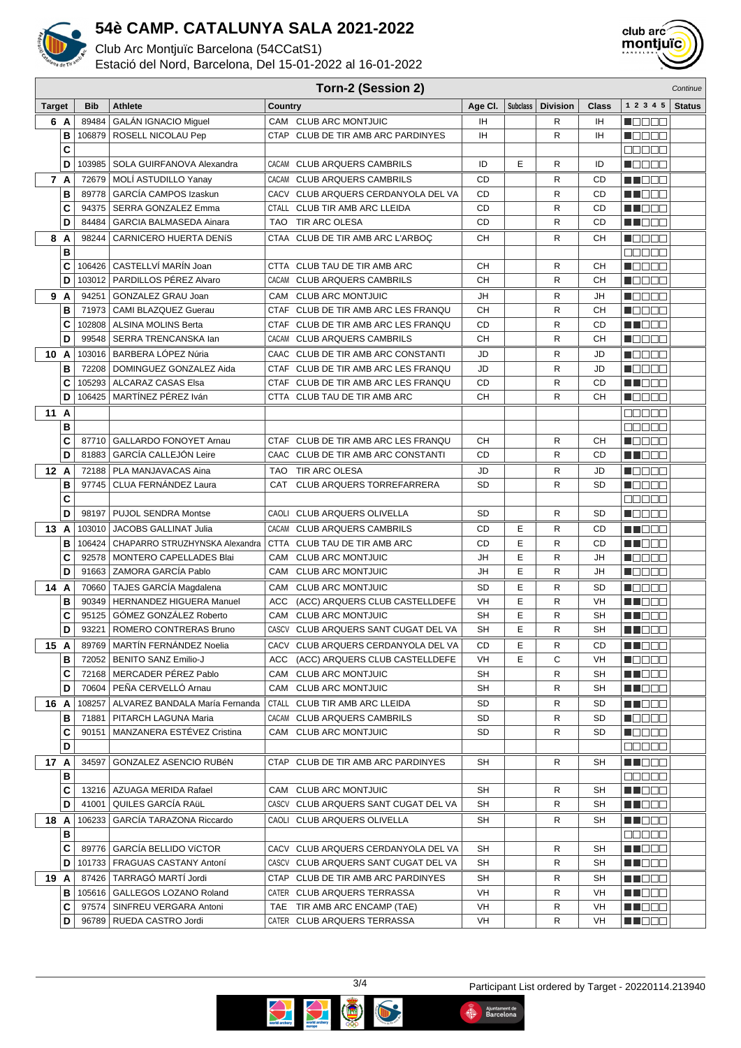

Club Arc Montiuïc Barcelona (54CCatS1)

Estació del Nord, Barcelona, Del 15-01-2022 al 16-01-2022



**Torn-2 (Session 2)** Continue

#### **Target Bib Athlete Country Age Cl. Subclass Division Class 1 2 3 4 5 Status 6 A** 89484 GALÁN IGNACIO Miguel CAM CLUB ARC MONTJUIC IH R R H  $\blacksquare$ **B** 106879 ROSELL NICOLAU Pep CTAP CLUB DE TIR AMB ARC PARDINYES | IH | R | IH **NOODD C** <u>onnoc</u> **D** 103985 SOLA GUIRFANOVA Alexandra CACAM CLUB ARQUERS CAMBRILS ID E R ID  $\blacksquare \square \square \square \square$ **7 A** 72679 MOLÍ ASTUDILLO Yanay (CACAM CLUB ARQUERS CAMBRILS CD CD R R CD **HERRIT B** 89778 GARCÍA CAMPOS Izaskun CACV CLUB ARQUERS CERDANYOLA DEL VA CD R R CD M DO D **C** 94375 SERRA GONZALEZ Emma CTALL CLUB TIR AMB ARC LLEIDA CD CD R R CD <u> El See</u> **D** 84484 GARCIA BALMASEDA Ainara TAO TIR ARC OLESA CD CD R R CD **HERRICA 8 A** 98244 CARNICERO HUERTA DENÍS CTAA CLUB DE TIR AMB ARC L'ARBOÇ CH R R CH n de de **B** 00000 **C** 106426 CASTELLVÍ MARÍN Joan CTTA CLUB TAU DE TIR AMB ARC CH R R CH  $\blacksquare$ **D** 103012 PARDILLOS PÉREZ Alvaro CACAM CLUB ARQUERS CAMBRILS CH R R CH **HELLER 9 A** 94251 GONZALEZ GRAU Joan CLUB ARC MONTJUIC JH JH R JH **NOBER B** 71973 CAMI BLAZQUEZ Guerau CTAF CLUB DE TIR AMB ARC LES FRANQU CH R R CH **NODDE C** 102808 ALSINA MOLINS Berta **CLUB DE TIR AMB ARC LES FRANQU** CD R R CD **HILLER D** 99548 SERRA TRENCANSKA Ian CACAM CLUB ARQUERS CAMBRILS CH CH R CH **HELLER 10 A** 103016 BARBERA LÓPEZ Núria CAAC CLUB DE TIR AMB ARC CONSTANTI JD R JD **Nacional B** 72208 DOMINGUEZ GONZALEZ Aida CTAF CLUB DE TIR AMB ARC LES FRANQU JD R R JD Ma sa s **C** 105293 ALCARAZ CASAS Elsa CTAF CLUB DE TIR AMB ARC LES FRANQU CD R CD ME OO O **D** 106425 MARTÍNEZ PÉREZ Iván CLUB TAU OL TIR AMB ARC CH R R CH Maaaa **11 A** 00000 **B DODDE C** 87710 GALLARDO FONOYET Arnau CTAF CLUB DE TIR AMB ARC LES FRANQU CH R R CH **RADOR D** 81883 GARCÍA CALLEJÓN Leire CAAC CLUB DE TIR AMB ARC CONSTANTI CD R CD **HENDER 12 A** 72188 PLA MANJAVACAS Aina TAO TIR ARC OLESA JD JD R JD n Belgin **B** 97745 CLUA FERNÁNDEZ Laura CAT CLUB ARQUERS TORREFARRERA SD R R SD **NODEE C DODDI D** 98197 PUJOL SENDRA Montse CAOLI CLUB ARQUERS OLIVELLA SD SD R R SD **REFERE 13 A** 103010 JACOBS GALLINAT Julia CACAM CLUB ARQUERS CAMBRILS CD E R CD **HELLING B** 106424 CHAPARRO STRUZHYNSKA Alexandra CTTA CLUB TAU DE TIR AMB ARC CD E R CD **HENDER C** 92578 MONTERO CAPELLADES Blai CAM CLUB ARC MONTJUIC JH E R JH  $\blacksquare$ **D** 91663 ZAMORA GARCÍA Pablo CAM CLUB ARC MONTJUIC JH E R JH **NGC 88 14 A** 70660 TAJES GARCÍA Magdalena CAM CLUB ARC MONTJUIC SD E R SD **NODOO B** 90349 HERNANDEZ HIGUERA Manuel (ACC (ACC) ARQUERS CLUB CASTELLDEFE VH E R WH **REDEE C** 95125 GÓMEZ GONZÁLEZ Roberto CAM CLUB ARC MONTJUIC SH SH E R SH **HENDER D** 93221 ROMERO CONTRERAS Bruno CASCV CLUB ARQUERS SANT CUGAT DEL VA SH E R SH **HENDER 15 A** 89769 MARTÍN FERNÁNDEZ Noelia CACV CLUB ARQUERS CERDANYOLA DEL VA CD E R CD **RECOR B** 72052 BENITO SANZ Emilio-J ACC (ACC) ARQUERS CLUB CASTELLDEFE VH E C VH **MODDE C** 72168 MERCADER PÉREZ Pablo CAM CLUB ARC MONTJUIC SH SH R SH **RECE D** 70604 PEÑA CERVELLÓ Arnau CAM CLUB ARC MONTJUIC SH SH R SH **HENDER HENDER 16 A** 108257 ALVAREZ BANDALA María Fernanda CTALL CLUB TIR AMB ARC LLEIDA SD SD R R SD **B** 71881 PITARCH LAGUNA Maria CACAM CLUB ARQUERS CAMBRILS SD R R SD  $\blacksquare$ **C** 90151 MANZANERA ESTÉVEZ Cristina CAM CLUB ARC MONTJUIC SD R R SD <u>FINDER </u> **D** 00000 **17 A** 34597 GONZALEZ ASENCIO RUBÉN CTAP CLUB DE TIR AMB ARC PARDINYES SH R R SH **RECORD B** <u>onnon</u> **C** 13216 AZUAGA MERIDA Rafael CAM CLUB ARC MONTJUIC SH SH R SH **HENDE D** 41001 QUILES GARCÍA RAÜL CASCV CLUB ARQUERS SANT CUGAT DEL VA SH R R SH **HENDER 18 A** 106233 GARCÍA TARAZONA Riccardo CAOLI CLUB ARQUERS OLIVELLA SH SH R SH Mala Sila **B** nnnnn **C** 89776 GARCÍA BELLIDO VÍCTOR CACV CLUB ARQUERS CERDANYOLA DEL VA SH R R SH **HENDER D** 101733 FRAGUAS CASTANY Antoní CASCV CLUB ARQUERS SANT CUGAT DEL VA SH R SH **HENDER 19 A** 87426 TARRAGÓ MARTÍ Jordi CTAP CLUB DE TIR AMB ARC PARDINYES SH R R SH **REDDE B** 105616 GALLEGOS LOZANO Roland CATER CLUB ARQUERS TERRASSA VH R R VH **RINDER C** 97574 SINFREU VERGARA Antoni TAE TIR AMB ARC ENCAMP (TAE) VH VH R VH n i Bele **D** 96789 RUEDA CASTRO Jordi CATER CLUB ARQUERS TERRASSA VH R R VH MN O O O



Ajuntament de<br>Barcelona